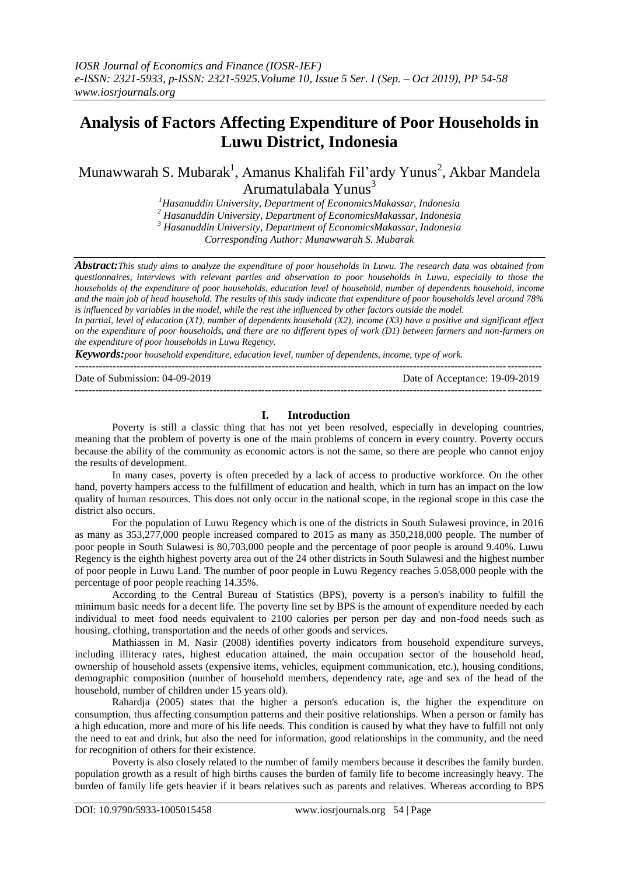# **Analysis of Factors Affecting Expenditure of Poor Households in Luwu District, Indonesia**

Munawwarah S. Mubarak<sup>1</sup>, Amanus Khalifah Fil'ardy Yunus<sup>2</sup>, Akbar Mandela Arumatulabala Yunus<sup>3</sup>

> *<sup>1</sup>Hasanuddin University, Department of EconomicsMakassar, Indonesia <sup>2</sup> Hasanuddin University, Department of EconomicsMakassar, Indonesia <sup>3</sup> Hasanuddin University, Department of EconomicsMakassar, Indonesia*

*Corresponding Author: Munawwarah S. Mubarak*

*Abstract:This study aims to analyze the expenditure of poor households in Luwu. The research data was obtained from questionnaires, interviews with relevant parties and observation to poor households in Luwu, especially to those the households of the expenditure of poor households, education level of household, number of dependents household, income and the main job of head household. The results of this study indicate that expenditure of poor households level around 78% is influenced by variables in the model, while the rest ithe influenced by other factors outside the model.*

*In partial, level of education (X1), number of dependents household (X2), income (X3) have a positive and significant effect on the expenditure of poor households, and there are no different types of work (D1) between farmers and non-farmers on the expenditure of poor households in Luwu Regency.*

*Keywords:poor household expenditure, education level, number of dependents, income, type of work.*  $-1.1$ 

Date of Submission: 04-09-2019 Date of Acceptance: 19-09-2019 ---------------------------------------------------------------------------------------------------------------------------------------

#### **I. Introduction**

Poverty is still a classic thing that has not yet been resolved, especially in developing countries, meaning that the problem of poverty is one of the main problems of concern in every country. Poverty occurs because the ability of the community as economic actors is not the same, so there are people who cannot enjoy the results of development.

In many cases, poverty is often preceded by a lack of access to productive workforce. On the other hand, poverty hampers access to the fulfillment of education and health, which in turn has an impact on the low quality of human resources. This does not only occur in the national scope, in the regional scope in this case the district also occurs.

For the population of Luwu Regency which is one of the districts in South Sulawesi province, in 2016 as many as 353,277,000 people increased compared to 2015 as many as 350,218,000 people. The number of poor people in South Sulawesi is 80,703,000 people and the percentage of poor people is around 9.40%. Luwu Regency is the eighth highest poverty area out of the 24 other districts in South Sulawesi and the highest number of poor people in Luwu Land. The number of poor people in Luwu Regency reaches 5.058,000 people with the percentage of poor people reaching 14.35%.

According to the Central Bureau of Statistics (BPS), poverty is a person's inability to fulfill the minimum basic needs for a decent life. The poverty line set by BPS is the amount of expenditure needed by each individual to meet food needs equivalent to 2100 calories per person per day and non-food needs such as housing, clothing, transportation and the needs of other goods and services.

Mathiassen in M. Nasir (2008) identifies poverty indicators from household expenditure surveys, including illiteracy rates, highest education attained, the main occupation sector of the household head, ownership of household assets (expensive items, vehicles, equipment communication, etc.), housing conditions, demographic composition (number of household members, dependency rate, age and sex of the head of the household, number of children under 15 years old).

Rahardja (2005) states that the higher a person's education is, the higher the expenditure on consumption, thus affecting consumption patterns and their positive relationships. When a person or family has a high education, more and more of his life needs. This condition is caused by what they have to fulfill not only the need to eat and drink, but also the need for information, good relationships in the community, and the need for recognition of others for their existence.

Poverty is also closely related to the number of family members because it describes the family burden. population growth as a result of high births causes the burden of family life to become increasingly heavy. The burden of family life gets heavier if it bears relatives such as parents and relatives. Whereas according to BPS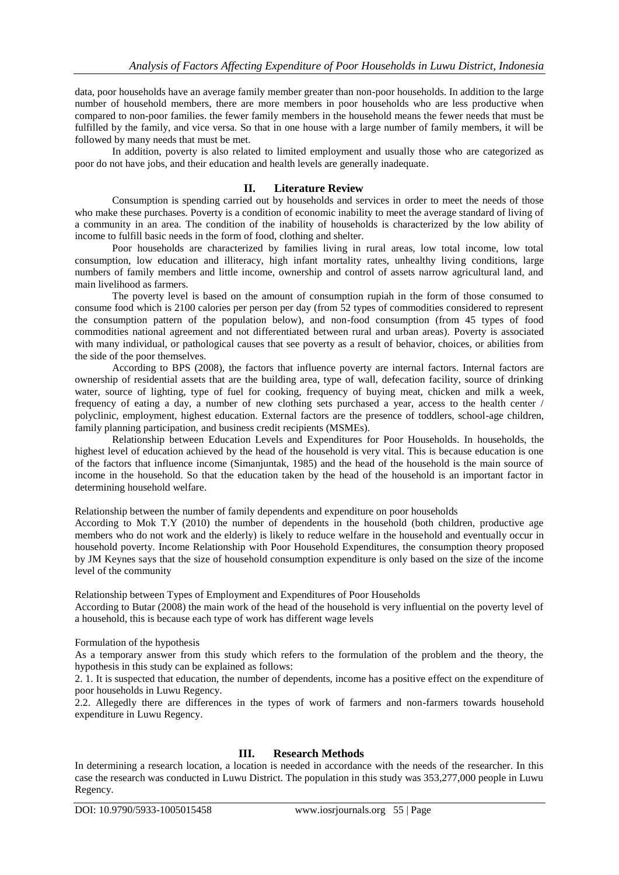data, poor households have an average family member greater than non-poor households. In addition to the large number of household members, there are more members in poor households who are less productive when compared to non-poor families. the fewer family members in the household means the fewer needs that must be fulfilled by the family, and vice versa. So that in one house with a large number of family members, it will be followed by many needs that must be met.

In addition, poverty is also related to limited employment and usually those who are categorized as poor do not have jobs, and their education and health levels are generally inadequate.

# **II. Literature Review**

Consumption is spending carried out by households and services in order to meet the needs of those who make these purchases. Poverty is a condition of economic inability to meet the average standard of living of a community in an area. The condition of the inability of households is characterized by the low ability of income to fulfill basic needs in the form of food, clothing and shelter.

Poor households are characterized by families living in rural areas, low total income, low total consumption, low education and illiteracy, high infant mortality rates, unhealthy living conditions, large numbers of family members and little income, ownership and control of assets narrow agricultural land, and main livelihood as farmers.

The poverty level is based on the amount of consumption rupiah in the form of those consumed to consume food which is 2100 calories per person per day (from 52 types of commodities considered to represent the consumption pattern of the population below), and non-food consumption (from 45 types of food commodities national agreement and not differentiated between rural and urban areas). Poverty is associated with many individual, or pathological causes that see poverty as a result of behavior, choices, or abilities from the side of the poor themselves.

According to BPS (2008), the factors that influence poverty are internal factors. Internal factors are ownership of residential assets that are the building area, type of wall, defecation facility, source of drinking water, source of lighting, type of fuel for cooking, frequency of buying meat, chicken and milk a week, frequency of eating a day, a number of new clothing sets purchased a year, access to the health center / polyclinic, employment, highest education. External factors are the presence of toddlers, school-age children, family planning participation, and business credit recipients (MSMEs).

Relationship between Education Levels and Expenditures for Poor Households. In households, the highest level of education achieved by the head of the household is very vital. This is because education is one of the factors that influence income (Simanjuntak, 1985) and the head of the household is the main source of income in the household. So that the education taken by the head of the household is an important factor in determining household welfare.

Relationship between the number of family dependents and expenditure on poor households

According to Mok T.Y (2010) the number of dependents in the household (both children, productive age members who do not work and the elderly) is likely to reduce welfare in the household and eventually occur in household poverty. Income Relationship with Poor Household Expenditures, the consumption theory proposed by JM Keynes says that the size of household consumption expenditure is only based on the size of the income level of the community

Relationship between Types of Employment and Expenditures of Poor Households

According to Butar (2008) the main work of the head of the household is very influential on the poverty level of a household, this is because each type of work has different wage levels

Formulation of the hypothesis

As a temporary answer from this study which refers to the formulation of the problem and the theory, the hypothesis in this study can be explained as follows:

2. 1. It is suspected that education, the number of dependents, income has a positive effect on the expenditure of poor households in Luwu Regency.

2.2. Allegedly there are differences in the types of work of farmers and non-farmers towards household expenditure in Luwu Regency.

# **III. Research Methods**

In determining a research location, a location is needed in accordance with the needs of the researcher. In this case the research was conducted in Luwu District. The population in this study was 353,277,000 people in Luwu Regency.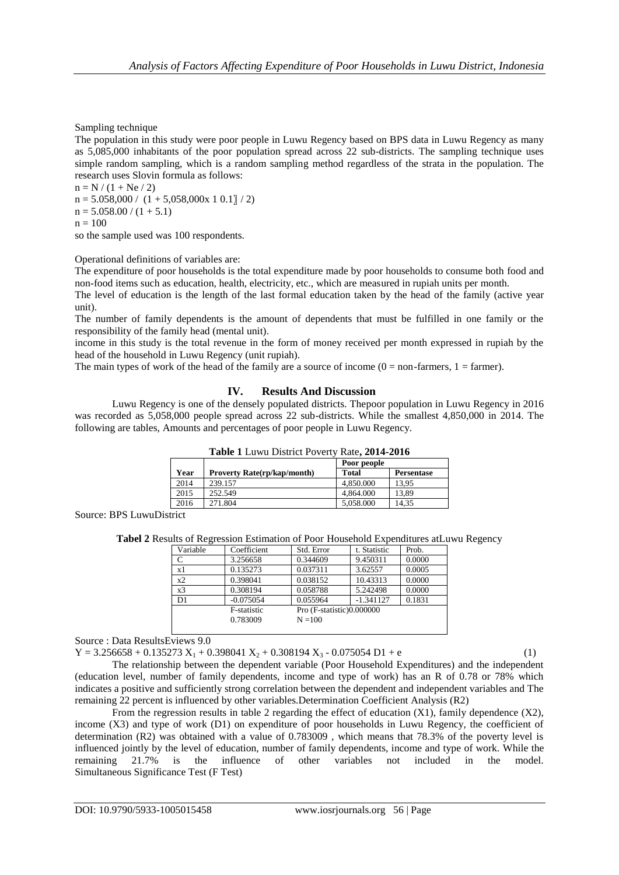Sampling technique

The population in this study were poor people in Luwu Regency based on BPS data in Luwu Regency as many as 5,085,000 inhabitants of the poor population spread across 22 sub-districts. The sampling technique uses simple random sampling, which is a random sampling method regardless of the strata in the population. The research uses Slovin formula as follows:

 $n = N / (1 + Ne / 2)$  $n = 5.058,000 / (1 + 5,058,000 \times 10.1) / 2$  $n = 5.058.00 / (1 + 5.1)$  $n = 100$ 

so the sample used was 100 respondents.

Operational definitions of variables are:

The expenditure of poor households is the total expenditure made by poor households to consume both food and non-food items such as education, health, electricity, etc., which are measured in rupiah units per month.

The level of education is the length of the last formal education taken by the head of the family (active year unit).

The number of family dependents is the amount of dependents that must be fulfilled in one family or the responsibility of the family head (mental unit).

income in this study is the total revenue in the form of money received per month expressed in rupiah by the head of the household in Luwu Regency (unit rupiah).

The main types of work of the head of the family are a source of income  $(0 = non-farmers, 1 = farmer)$ .

### **IV. Results And Discussion**

Luwu Regency is one of the densely populated districts. Thepoor population in Luwu Regency in 2016 was recorded as 5,058,000 people spread across 22 sub-districts. While the smallest 4,850,000 in 2014. The following are tables, Amounts and percentages of poor people in Luwu Regency.

| <b>Table 1</b> Luwu District Poverty Rate, 2014-2010 |                                    |              |                   |  |  |
|------------------------------------------------------|------------------------------------|--------------|-------------------|--|--|
|                                                      |                                    | Poor people  |                   |  |  |
| Year                                                 | <b>Proverty Rate(rp/kap/month)</b> | <b>Total</b> | <b>Persentase</b> |  |  |
| 2014                                                 | 239.157                            | 4.850.000    | 13.95             |  |  |
| 2015                                                 | 252.549                            | 4.864.000    | 13.89             |  |  |
| 2016                                                 | 271.804                            | 5,058.000    | 14.35             |  |  |
|                                                      |                                    |              |                   |  |  |

**Table 1** Luwu District Poverty Rate**, 2014-2016**

Source: BPS LuwuDistrict

**Tabel 2** Results of Regression Estimation of Poor Household Expenditures atLuwu Regency

| Variable       | Coefficient | Std. Error                | t. Statistic | Prob.  |
|----------------|-------------|---------------------------|--------------|--------|
| C              | 3.256658    | 0.344609                  | 9.450311     | 0.0000 |
| x1             | 0.135273    | 0.037311                  | 3.62557      | 0.0005 |
| x2             | 0.398041    | 0.038152                  | 10.43313     | 0.0000 |
| x3             | 0.308194    | 0.058788                  | 5.242498     | 0.0000 |
| D <sub>1</sub> | $-0.075054$ | 0.055964                  | $-1.341127$  | 0.1831 |
|                | F-statistic | Pro (F-statistic)0.000000 |              |        |
|                | 0.783009    | $N = 100$                 |              |        |
|                |             |                           |              |        |

Source : Data ResultsEviews 9.0

 $Y = 3.256658 + 0.135273 X_1 + 0.398041 X_2 + 0.308194 X_3 - 0.075054 D1 + e$ 

The relationship between the dependent variable (Poor Household Expenditures) and the independent (education level, number of family dependents, income and type of work) has an R of 0.78 or 78% which indicates a positive and sufficiently strong correlation between the dependent and independent variables and The remaining 22 percent is influenced by other variables.Determination Coefficient Analysis (R2)

From the regression results in table 2 regarding the effect of education  $(X1)$ , family dependence  $(X2)$ , income (X3) and type of work (D1) on expenditure of poor households in Luwu Regency, the coefficient of determination (R2) was obtained with a value of 0.783009 , which means that 78.3% of the poverty level is influenced jointly by the level of education, number of family dependents, income and type of work. While the remaining 21.7% is the influence of other variables not included in the model. Simultaneous Significance Test (F Test)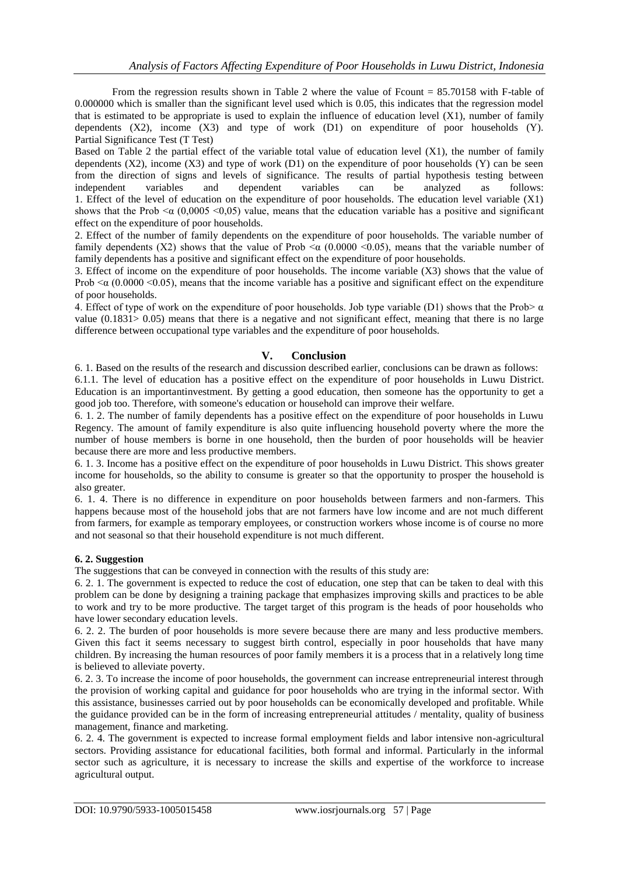From the regression results shown in Table 2 where the value of Fcount = 85.70158 with F-table of 0.000000 which is smaller than the significant level used which is 0.05, this indicates that the regression model that is estimated to be appropriate is used to explain the influence of education level (X1), number of family dependents  $(X2)$ , income  $(X3)$  and type of work  $(D1)$  on expenditure of poor households  $(Y)$ . Partial Significance Test (T Test)

Based on Table 2 the partial effect of the variable total value of education level (X1), the number of family dependents  $(X2)$ , income  $(X3)$  and type of work  $(D1)$  on the expenditure of poor households  $(Y)$  can be seen from the direction of signs and levels of significance. The results of partial hypothesis testing between independent variables and dependent variables can be analyzed as follows: 1. Effect of the level of education on the expenditure of poor households. The education level variable (X1) shows that the Prob  $\leq \alpha$  (0,0005  $\leq$ 0,05) value, means that the education variable has a positive and significant effect on the expenditure of poor households.

2. Effect of the number of family dependents on the expenditure of poor households. The variable number of family dependents (X2) shows that the value of Prob  $\leq \alpha$  (0.0000  $\leq$ 0.05), means that the variable number of family dependents has a positive and significant effect on the expenditure of poor households.

3. Effect of income on the expenditure of poor households. The income variable (X3) shows that the value of Prob  $\leq \alpha$  (0.0000  $\leq$ 0.05), means that the income variable has a positive and significant effect on the expenditure of poor households.

4. Effect of type of work on the expenditure of poor households. Job type variable (D1) shows that the Prob $\alpha$ value (0.1831> 0.05) means that there is a negative and not significant effect, meaning that there is no large difference between occupational type variables and the expenditure of poor households.

# **V. Conclusion**

6. 1. Based on the results of the research and discussion described earlier, conclusions can be drawn as follows:

6.1.1. The level of education has a positive effect on the expenditure of poor households in Luwu District. Education is an importantinvestment. By getting a good education, then someone has the opportunity to get a good job too. Therefore, with someone's education or household can improve their welfare.

6. 1. 2. The number of family dependents has a positive effect on the expenditure of poor households in Luwu Regency. The amount of family expenditure is also quite influencing household poverty where the more the number of house members is borne in one household, then the burden of poor households will be heavier because there are more and less productive members.

6. 1. 3. Income has a positive effect on the expenditure of poor households in Luwu District. This shows greater income for households, so the ability to consume is greater so that the opportunity to prosper the household is also greater.

6. 1. 4. There is no difference in expenditure on poor households between farmers and non-farmers. This happens because most of the household jobs that are not farmers have low income and are not much different from farmers, for example as temporary employees, or construction workers whose income is of course no more and not seasonal so that their household expenditure is not much different.

# **6. 2. Suggestion**

The suggestions that can be conveyed in connection with the results of this study are:

6. 2. 1. The government is expected to reduce the cost of education, one step that can be taken to deal with this problem can be done by designing a training package that emphasizes improving skills and practices to be able to work and try to be more productive. The target target of this program is the heads of poor households who have lower secondary education levels.

6. 2. 2. The burden of poor households is more severe because there are many and less productive members. Given this fact it seems necessary to suggest birth control, especially in poor households that have many children. By increasing the human resources of poor family members it is a process that in a relatively long time is believed to alleviate poverty.

6. 2. 3. To increase the income of poor households, the government can increase entrepreneurial interest through the provision of working capital and guidance for poor households who are trying in the informal sector. With this assistance, businesses carried out by poor households can be economically developed and profitable. While the guidance provided can be in the form of increasing entrepreneurial attitudes / mentality, quality of business management, finance and marketing.

6. 2. 4. The government is expected to increase formal employment fields and labor intensive non-agricultural sectors. Providing assistance for educational facilities, both formal and informal. Particularly in the informal sector such as agriculture, it is necessary to increase the skills and expertise of the workforce to increase agricultural output.